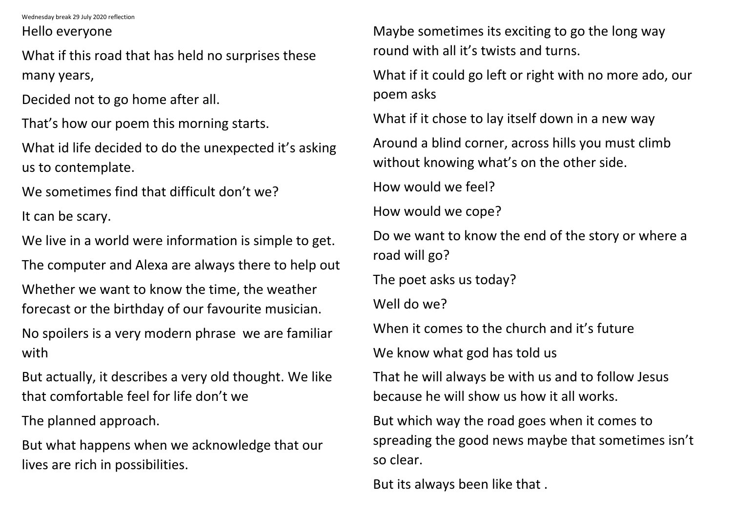Wednesday break 29 July 2020 reflection

Hello everyone

What if this road that has held no surprises these many years,

Decided not to go home after all.

That's how our poem this morning starts.

What id life decided to do the unexpected it's asking us to contemplate.

We sometimes find that difficult don't we?

It can be scary.

We live in a world were information is simple to get.

The computer and Alexa are always there to help out

Whether we want to know the time, the weather forecast or the birthday of our favourite musician.

No spoilers is a very modern phrase we are familiar with

But actually, it describes a very old thought. We like that comfortable feel for life don't we

The planned approach.

But what happens when we acknowledge that our lives are rich in possibilities.

Maybe sometimes its exciting to go the long way round with all it's twists and turns. What if it could go left or right with no more ado, our poem asks What if it chose to lay itself down in a new way Around a blind corner, across hills you must climb without knowing what's on the other side. How would we feel? How would we cope? Do we want to know the end of the story or where a road will go? The poet asks us today? Well do we? When it comes to the church and it's future We know what god has told us That he will always be with us and to follow Jesus because he will show us how it all works.

But which way the road goes when it comes to spreading the good news maybe that sometimes isn't so clear.

But its always been like that .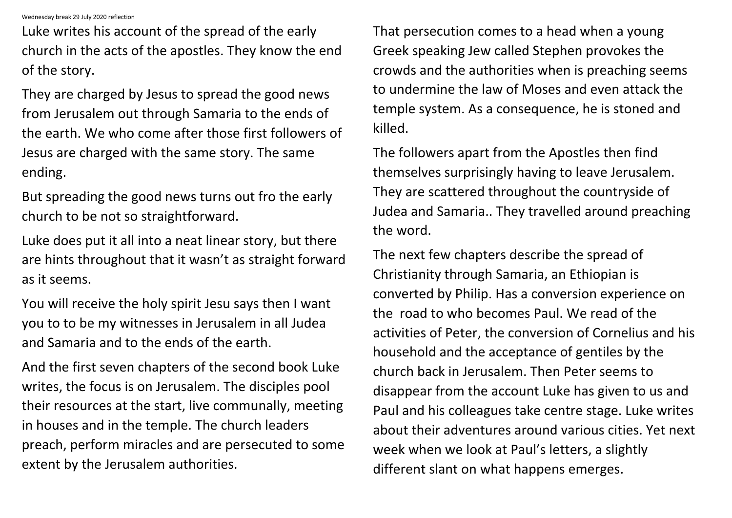Wednesday break 29 July 2020 reflection

Luke writes his account of the spread of the early church in the acts of the apostles. They know the end of the story.

They are charged by Jesus to spread the good news from Jerusalem out through Samaria to the ends of the earth. We who come after those first followers of Jesus are charged with the same story. The same ending.

But spreading the good news turns out fro the early church to be not so straightforward.

Luke does put it all into a neat linear story, but there are hints throughout that it wasn't as straight forward as it seems.

You will receive the holy spirit Jesu says then I want you to to be my witnesses in Jerusalem in all Judea and Samaria and to the ends of the earth.

And the first seven chapters of the second book Luke writes, the focus is on Jerusalem. The disciples pool their resources at the start, live communally, meeting in houses and in the temple. The church leaders preach, perform miracles and are persecuted to some extent by the Jerusalem authorities.

That persecution comes to a head when a young Greek speaking Jew called Stephen provokes the crowds and the authorities when is preaching seems to undermine the law of Moses and even attack the temple system. As a consequence, he is stoned and killed.

The followers apart from the Apostles then find themselves surprisingly having to leave Jerusalem. They are scattered throughout the countryside of Judea and Samaria.. They travelled around preaching the word.

The next few chapters describe the spread of Christianity through Samaria, an Ethiopian is converted by Philip. Has a conversion experience on the road to who becomes Paul. We read of the activities of Peter, the conversion of Cornelius and his household and the acceptance of gentiles by the church back in Jerusalem. Then Peter seems to disappear from the account Luke has given to us and Paul and his colleagues take centre stage. Luke writes about their adventures around various cities. Yet next week when we look at Paul's letters, a slightly different slant on what happens emerges.